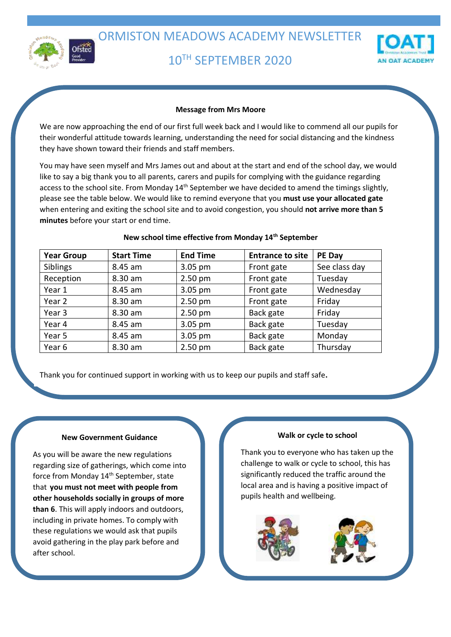

# 10TH SEPTEMBER 2020



# **Message from Mrs Moore**

We are now approaching the end of our first full week back and I would like to commend all our pupils for their wonderful attitude towards learning, understanding the need for social distancing and the kindness they have shown toward their friends and staff members.

You may have seen myself and Mrs James out and about at the start and end of the school day, we would like to say a big thank you to all parents, carers and pupils for complying with the guidance regarding access to the school site. From Monday 14<sup>th</sup> September we have decided to amend the timings slightly, please see the table below. We would like to remind everyone that you **must use your allocated gate** when entering and exiting the school site and to avoid congestion, you should **not arrive more than 5 minutes** before your start or end time.

| <b>Year Group</b> | <b>Start Time</b> | <b>End Time</b> | <b>Entrance to site</b> | PE Day        |
|-------------------|-------------------|-----------------|-------------------------|---------------|
| Siblings          | 8.45 am           | 3.05 pm         | Front gate              | See class day |
| Reception         | 8.30 am           | $2.50$ pm       | Front gate              | Tuesday       |
| Year 1            | 8.45 am           | 3.05 pm         | Front gate              | Wednesday     |
| Year 2            | 8.30 am           | $2.50$ pm       | Front gate              | Friday        |
| Year 3            | 8.30 am           | $2.50$ pm       | Back gate               | Friday        |
| Year 4            | 8.45 am           | 3.05 pm         | Back gate               | Tuesday       |
| Year 5            | 8.45 am           | 3.05 pm         | Back gate               | Monday        |
| Year 6            | 8.30 am           | $2.50$ pm       | Back gate               | Thursday      |

# **New school time effective from Monday 14th September**

Thank you for continued support in working with us to keep our pupils and staff safe**.** 

## **New Government Guidance**

As you will be aware the new regulations regarding size of gatherings, which come into force from Monday 14<sup>th</sup> September, state that **you must not meet with people from other households socially in groups of more than 6**. This will apply indoors and outdoors, including in private homes. To comply with these regulations we would ask that pupils avoid gathering in the play park before and after school.

## **Walk or cycle to school**

Thank you to everyone who has taken up the challenge to walk or cycle to school, this has significantly reduced the traffic around the local area and is having a positive impact of pupils health and wellbeing.